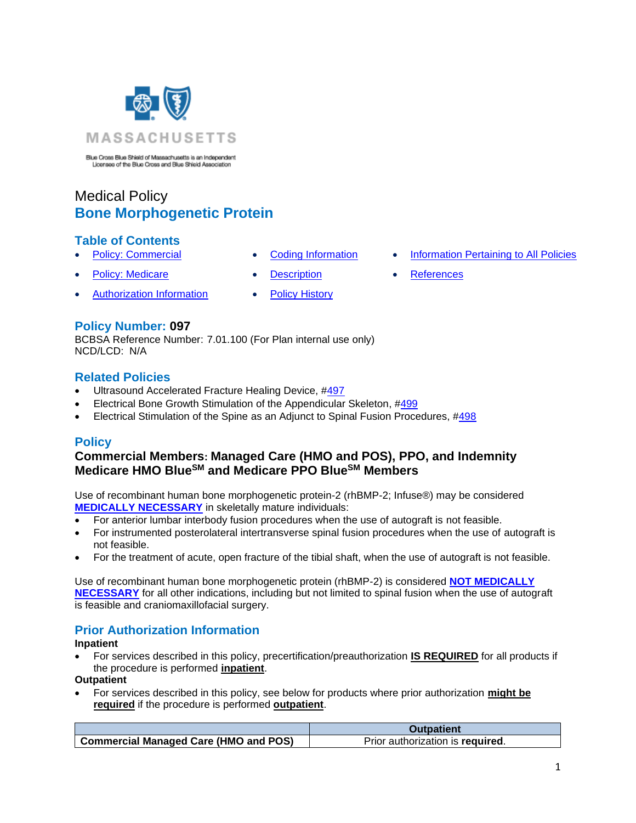

Blue Cross Blue Shield of Massachusetts is an Independent<br>Licenses of the Blue Cross and Blue Shield Association

# Medical Policy **Bone Morphogenetic Protein**

### **Table of Contents**

- 
- **[Policy: Medicare](#page-0-0) [Description](#page-1-1) [References](#page-3-1)**
- Authorization Information [Policy History](#page-2-0)
- 
- **[Policy: Commercial](#page-0-0) [Coding Information](#page-1-0) [Information Pertaining to All Policies](#page-3-0)** 
	-

### **Policy Number: 097**

BCBSA Reference Number: 7.01.100 (For Plan internal use only) NCD/LCD: N/A

### **Related Policies**

- Ultrasound Accelerated Fracture Healing Device, [#497](http://www.bluecrossma.org/medical-policies/sites/g/files/csphws2091/files/acquiadam-assets/497%20Ultrasound%20Accelerated%20Fracture%20Healing%20Device%20prn.pdf#page=1)
- Electrical Bone Growth Stimulation of the Appendicular Skeleton, [#499](http://www.bluecrossma.org/medical-policies/sites/g/files/csphws2091/files/acquiadam-assets/499%20Electrical%20Bone%20Growth%20Stimulation%20of%20the%20Appendicular%20Skeleton%20prn.pdf#page=1)
- Electrical Stimulation of the Spine as an Adjunct to Spinal Fusion Procedures, [#498](http://www.bluecrossma.org/medical-policies/sites/g/files/csphws2091/files/acquiadam-assets/498%20Electrical%20Stimulation%20of%20the%20Spine%20as%20an%20Adjunct%20to%20Spinal%20Fusion%20Procedures%20prn.pdf#page=1)

# <span id="page-0-0"></span>**Policy**

# **Commercial Members: Managed Care (HMO and POS), PPO, and Indemnity Medicare HMO BlueSM and Medicare PPO BlueSM Members**

Use of recombinant human bone morphogenetic protein-2 (rhBMP-2; Infuse®) may be considered **[MEDICALLY NECESSARY](https://www.bluecrossma.org/medical-policies/sites/g/files/csphws2091/files/acquiadam-assets/Definition%20of%20Med%20Nec%20Inv%20Not%20Med%20Nec%20prn.pdf#page=1)** in skeletally mature individuals:

- For anterior lumbar interbody fusion procedures when the use of autograft is not feasible.
- For instrumented posterolateral intertransverse spinal fusion procedures when the use of autograft is not feasible.
- For the treatment of acute, open fracture of the tibial shaft, when the use of autograft is not feasible.

Use of recombinant human bone morphogenetic protein (rhBMP-2) is considered **[NOT MEDICALLY](https://www.bluecrossma.org/medical-policies/sites/g/files/csphws2091/files/acquiadam-assets/Definition%20of%20Med%20Nec%20Inv%20Not%20Med%20Nec%20prn.pdf#page=1)  [NECESSARY](https://www.bluecrossma.org/medical-policies/sites/g/files/csphws2091/files/acquiadam-assets/Definition%20of%20Med%20Nec%20Inv%20Not%20Med%20Nec%20prn.pdf#page=1)** for all other indications, including but not limited to spinal fusion when the use of autograft is feasible and craniomaxillofacial surgery.

# **Prior Authorization Information**

**Inpatient**

• For services described in this policy, precertification/preauthorization **IS REQUIRED** for all products if the procedure is performed **inpatient**.

**Outpatient**

• For services described in this policy, see below for products where prior authorization **might be required** if the procedure is performed **outpatient**.

|                                              | Outpatient                       |
|----------------------------------------------|----------------------------------|
| <b>Commercial Managed Care (HMO and POS)</b> | Prior authorization is required. |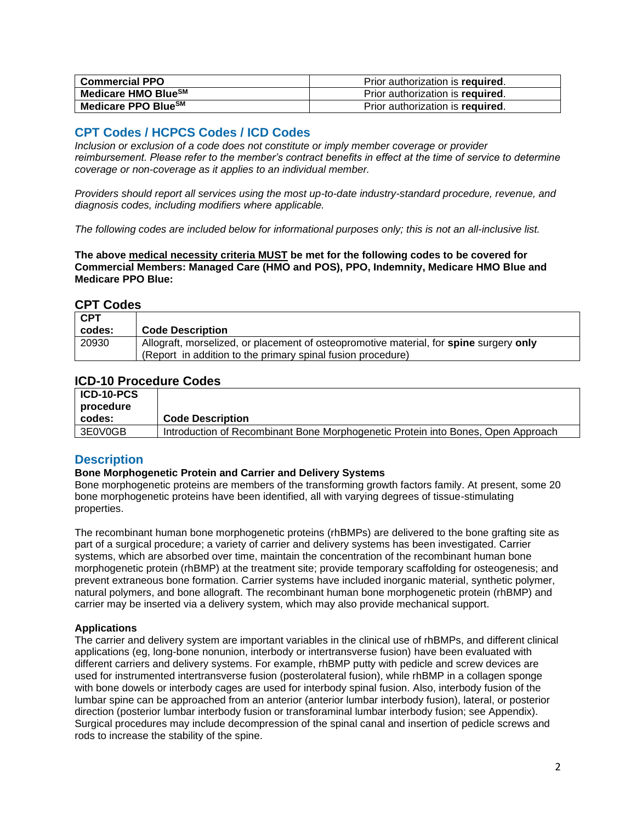| <b>Commercial PPO</b>           | Prior authorization is required. |
|---------------------------------|----------------------------------|
| Medicare HMO BlueSM             | Prior authorization is required. |
| Medicare PPO Blue <sup>sM</sup> | Prior authorization is required. |

# <span id="page-1-0"></span>**CPT Codes / HCPCS Codes / ICD Codes**

*Inclusion or exclusion of a code does not constitute or imply member coverage or provider reimbursement. Please refer to the member's contract benefits in effect at the time of service to determine coverage or non-coverage as it applies to an individual member.* 

*Providers should report all services using the most up-to-date industry-standard procedure, revenue, and diagnosis codes, including modifiers where applicable.*

*The following codes are included below for informational purposes only; this is not an all-inclusive list.*

**The above medical necessity criteria MUST be met for the following codes to be covered for Commercial Members: Managed Care (HMO and POS), PPO, Indemnity, Medicare HMO Blue and Medicare PPO Blue:**

#### **CPT Codes**

| <b>CPT</b> |                                                                                        |
|------------|----------------------------------------------------------------------------------------|
| codes:     | <b>Code Description</b>                                                                |
| 20930      | Allograft, morselized, or placement of osteopromotive material, for spine surgery only |
|            | (Report in addition to the primary spinal fusion procedure)                            |

### **ICD-10 Procedure Codes**

| ICD-10-PCS<br>∣ procedure |                                                                                  |
|---------------------------|----------------------------------------------------------------------------------|
| codes:                    | <b>Code Description</b>                                                          |
| 3E0V0GB                   | Introduction of Recombinant Bone Morphogenetic Protein into Bones, Open Approach |

### <span id="page-1-1"></span>**Description**

#### **Bone Morphogenetic Protein and Carrier and Delivery Systems**

Bone morphogenetic proteins are members of the transforming growth factors family. At present, some 20 bone morphogenetic proteins have been identified, all with varying degrees of tissue-stimulating properties.

The recombinant human bone morphogenetic proteins (rhBMPs) are delivered to the bone grafting site as part of a surgical procedure; a variety of carrier and delivery systems has been investigated. Carrier systems, which are absorbed over time, maintain the concentration of the recombinant human bone morphogenetic protein (rhBMP) at the treatment site; provide temporary scaffolding for osteogenesis; and prevent extraneous bone formation. Carrier systems have included inorganic material, synthetic polymer, natural polymers, and bone allograft. The recombinant human bone morphogenetic protein (rhBMP) and carrier may be inserted via a delivery system, which may also provide mechanical support.

#### **Applications**

The carrier and delivery system are important variables in the clinical use of rhBMPs, and different clinical applications (eg, long-bone nonunion, interbody or intertransverse fusion) have been evaluated with different carriers and delivery systems. For example, rhBMP putty with pedicle and screw devices are used for instrumented intertransverse fusion (posterolateral fusion), while rhBMP in a collagen sponge with bone dowels or interbody cages are used for interbody spinal fusion. Also, interbody fusion of the lumbar spine can be approached from an anterior (anterior lumbar interbody fusion), lateral, or posterior direction (posterior lumbar interbody fusion or transforaminal lumbar interbody fusion; see Appendix). Surgical procedures may include decompression of the spinal canal and insertion of pedicle screws and rods to increase the stability of the spine.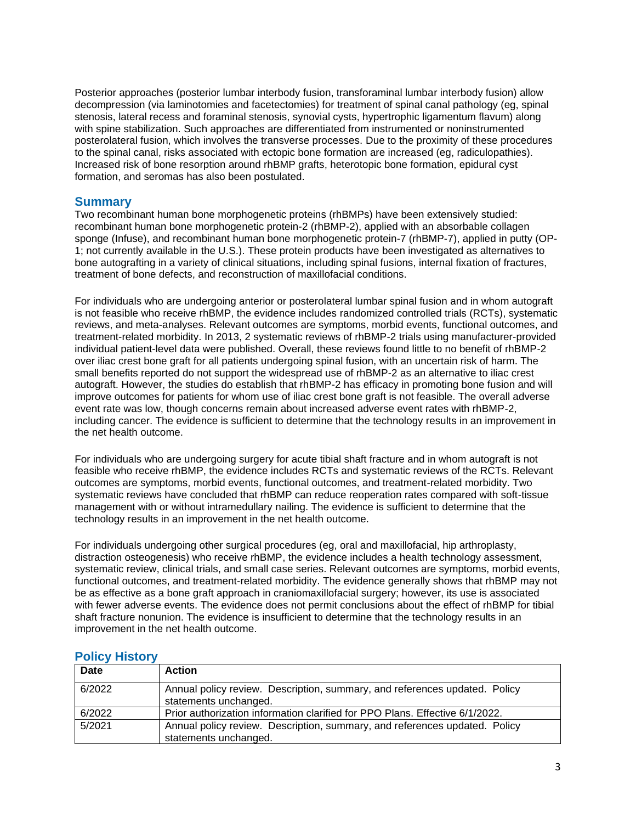Posterior approaches (posterior lumbar interbody fusion, transforaminal lumbar interbody fusion) allow decompression (via laminotomies and facetectomies) for treatment of spinal canal pathology (eg, spinal stenosis, lateral recess and foraminal stenosis, synovial cysts, hypertrophic ligamentum flavum) along with spine stabilization. Such approaches are differentiated from instrumented or noninstrumented posterolateral fusion, which involves the transverse processes. Due to the proximity of these procedures to the spinal canal, risks associated with ectopic bone formation are increased (eg, radiculopathies). Increased risk of bone resorption around rhBMP grafts, heterotopic bone formation, epidural cyst formation, and seromas has also been postulated.

#### **Summary**

Two recombinant human bone morphogenetic proteins (rhBMPs) have been extensively studied: recombinant human bone morphogenetic protein-2 (rhBMP-2), applied with an absorbable collagen sponge (Infuse), and recombinant human bone morphogenetic protein-7 (rhBMP-7), applied in putty (OP-1; not currently available in the U.S.). These protein products have been investigated as alternatives to bone autografting in a variety of clinical situations, including spinal fusions, internal fixation of fractures, treatment of bone defects, and reconstruction of maxillofacial conditions.

For individuals who are undergoing anterior or posterolateral lumbar spinal fusion and in whom autograft is not feasible who receive rhBMP, the evidence includes randomized controlled trials (RCTs), systematic reviews, and meta-analyses. Relevant outcomes are symptoms, morbid events, functional outcomes, and treatment-related morbidity. In 2013, 2 systematic reviews of rhBMP-2 trials using manufacturer-provided individual patient-level data were published. Overall, these reviews found little to no benefit of rhBMP-2 over iliac crest bone graft for all patients undergoing spinal fusion, with an uncertain risk of harm. The small benefits reported do not support the widespread use of rhBMP-2 as an alternative to iliac crest autograft. However, the studies do establish that rhBMP-2 has efficacy in promoting bone fusion and will improve outcomes for patients for whom use of iliac crest bone graft is not feasible. The overall adverse event rate was low, though concerns remain about increased adverse event rates with rhBMP-2, including cancer. The evidence is sufficient to determine that the technology results in an improvement in the net health outcome.

For individuals who are undergoing surgery for acute tibial shaft fracture and in whom autograft is not feasible who receive rhBMP, the evidence includes RCTs and systematic reviews of the RCTs. Relevant outcomes are symptoms, morbid events, functional outcomes, and treatment-related morbidity. Two systematic reviews have concluded that rhBMP can reduce reoperation rates compared with soft-tissue management with or without intramedullary nailing. The evidence is sufficient to determine that the technology results in an improvement in the net health outcome.

For individuals undergoing other surgical procedures (eg, oral and maxillofacial, hip arthroplasty, distraction osteogenesis) who receive rhBMP, the evidence includes a health technology assessment, systematic review, clinical trials, and small case series. Relevant outcomes are symptoms, morbid events, functional outcomes, and treatment-related morbidity. The evidence generally shows that rhBMP may not be as effective as a bone graft approach in craniomaxillofacial surgery; however, its use is associated with fewer adverse events. The evidence does not permit conclusions about the effect of rhBMP for tibial shaft fracture nonunion. The evidence is insufficient to determine that the technology results in an improvement in the net health outcome.

| <b>Date</b> | <b>Action</b>                                                                                       |
|-------------|-----------------------------------------------------------------------------------------------------|
| 6/2022      | Annual policy review. Description, summary, and references updated. Policy<br>statements unchanged. |
| 6/2022      | Prior authorization information clarified for PPO Plans. Effective 6/1/2022.                        |
| 5/2021      | Annual policy review. Description, summary, and references updated. Policy<br>statements unchanged. |

#### <span id="page-2-0"></span>**Policy History**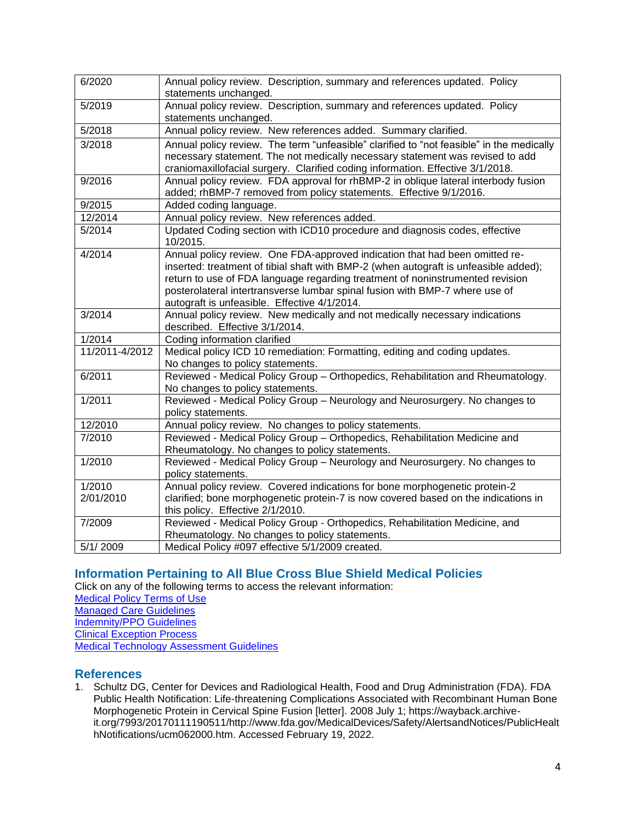| 6/2020         | Annual policy review. Description, summary and references updated. Policy<br>statements unchanged. |
|----------------|----------------------------------------------------------------------------------------------------|
| 5/2019         | Annual policy review. Description, summary and references updated. Policy                          |
|                | statements unchanged.                                                                              |
| 5/2018         | Annual policy review. New references added. Summary clarified.                                     |
| 3/2018         | Annual policy review. The term "unfeasible" clarified to "not feasible" in the medically           |
|                | necessary statement. The not medically necessary statement was revised to add                      |
|                | craniomaxillofacial surgery. Clarified coding information. Effective 3/1/2018.                     |
| 9/2016         | Annual policy review. FDA approval for rhBMP-2 in oblique lateral interbody fusion                 |
|                | added; rhBMP-7 removed from policy statements. Effective 9/1/2016.                                 |
| 9/2015         | Added coding language.                                                                             |
| 12/2014        | Annual policy review. New references added.                                                        |
| 5/2014         | Updated Coding section with ICD10 procedure and diagnosis codes, effective<br>10/2015.             |
| 4/2014         | Annual policy review. One FDA-approved indication that had been omitted re-                        |
|                | inserted: treatment of tibial shaft with BMP-2 (when autograft is unfeasible added);               |
|                | return to use of FDA language regarding treatment of noninstrumented revision                      |
|                | posterolateral intertransverse lumbar spinal fusion with BMP-7 where use of                        |
|                | autograft is unfeasible. Effective 4/1/2014.                                                       |
| 3/2014         | Annual policy review. New medically and not medically necessary indications                        |
|                | described. Effective 3/1/2014.                                                                     |
| 1/2014         | Coding information clarified                                                                       |
| 11/2011-4/2012 | Medical policy ICD 10 remediation: Formatting, editing and coding updates.                         |
|                | No changes to policy statements.                                                                   |
| 6/2011         | Reviewed - Medical Policy Group - Orthopedics, Rehabilitation and Rheumatology.                    |
|                | No changes to policy statements.                                                                   |
| 1/2011         | Reviewed - Medical Policy Group - Neurology and Neurosurgery. No changes to                        |
|                | policy statements.                                                                                 |
| 12/2010        | Annual policy review. No changes to policy statements.                                             |
| 7/2010         | Reviewed - Medical Policy Group - Orthopedics, Rehabilitation Medicine and                         |
|                | Rheumatology. No changes to policy statements.                                                     |
| 1/2010         | Reviewed - Medical Policy Group - Neurology and Neurosurgery. No changes to                        |
|                | policy statements.                                                                                 |
| 1/2010         | Annual policy review. Covered indications for bone morphogenetic protein-2                         |
| 2/01/2010      | clarified; bone morphogenetic protein-7 is now covered based on the indications in                 |
|                | this policy. Effective 2/1/2010.                                                                   |
| 7/2009         | Reviewed - Medical Policy Group - Orthopedics, Rehabilitation Medicine, and                        |
|                | Rheumatology. No changes to policy statements.                                                     |
| 5/1/2009       | Medical Policy #097 effective 5/1/2009 created.                                                    |

# <span id="page-3-0"></span>**Information Pertaining to All Blue Cross Blue Shield Medical Policies**

Click on any of the following terms to access the relevant information:

[Medical Policy Terms of Use](http://www.bluecrossma.org/medical-policies/sites/g/files/csphws2091/files/acquiadam-assets/Medical_Policy_Terms_of_Use_prn.pdf) [Managed Care Guidelines](http://www.bluecrossma.org/medical-policies/sites/g/files/csphws2091/files/acquiadam-assets/Managed_Care_Guidelines_prn.pdf) [Indemnity/PPO Guidelines](http://www.bluecrossma.org/medical-policies/sites/g/files/csphws2091/files/acquiadam-assets/Indemnity_and_PPO_Guidelines_prn.pdf)

[Clinical Exception Process](http://www.bluecrossma.org/medical-policies/sites/g/files/csphws2091/files/acquiadam-assets/Clinical_Exception_Process_prn.pdf)

<span id="page-3-1"></span>[Medical Technology Assessment Guidelines](http://www.bluecrossma.org/medical-policies/sites/g/files/csphws2091/files/acquiadam-assets/Medical_Technology_Assessment_Guidelines_prn.pdf)

### **References**

1. Schultz DG, Center for Devices and Radiological Health, Food and Drug Administration (FDA). FDA Public Health Notification: Life-threatening Complications Associated with Recombinant Human Bone Morphogenetic Protein in Cervical Spine Fusion [letter]. 2008 July 1; https://wayback.archiveit.org/7993/20170111190511/http://www.fda.gov/MedicalDevices/Safety/AlertsandNotices/PublicHealt hNotifications/ucm062000.htm. Accessed February 19, 2022.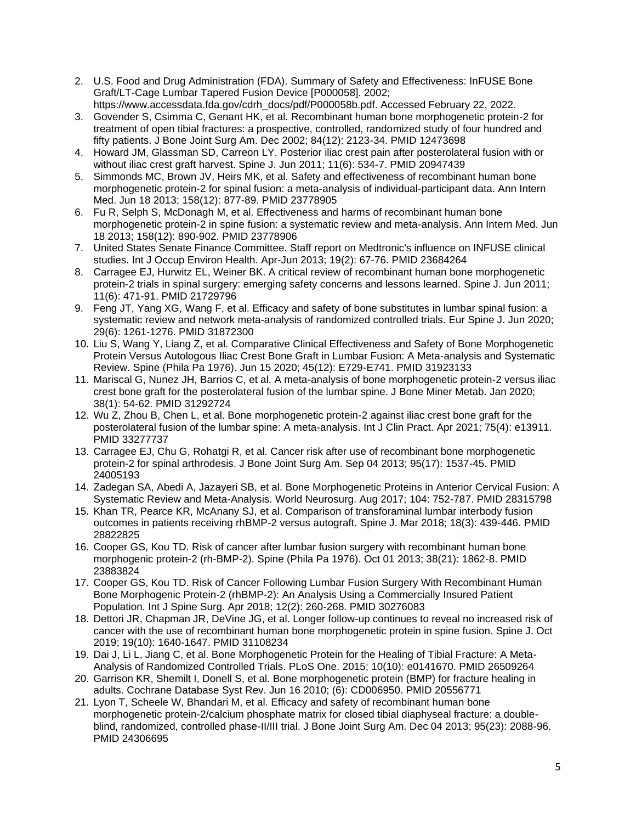- 2. U.S. Food and Drug Administration (FDA). Summary of Safety and Effectiveness: InFUSE Bone Graft/LT-Cage Lumbar Tapered Fusion Device [P000058]. 2002; https://www.accessdata.fda.gov/cdrh\_docs/pdf/P000058b.pdf. Accessed February 22, 2022.
- 3. Govender S, Csimma C, Genant HK, et al. Recombinant human bone morphogenetic protein-2 for treatment of open tibial fractures: a prospective, controlled, randomized study of four hundred and fifty patients. J Bone Joint Surg Am. Dec 2002; 84(12): 2123-34. PMID 12473698
- 4. Howard JM, Glassman SD, Carreon LY. Posterior iliac crest pain after posterolateral fusion with or without iliac crest graft harvest. Spine J. Jun 2011; 11(6): 534-7. PMID 20947439
- 5. Simmonds MC, Brown JV, Heirs MK, et al. Safety and effectiveness of recombinant human bone morphogenetic protein-2 for spinal fusion: a meta-analysis of individual-participant data. Ann Intern Med. Jun 18 2013; 158(12): 877-89. PMID 23778905
- 6. Fu R, Selph S, McDonagh M, et al. Effectiveness and harms of recombinant human bone morphogenetic protein-2 in spine fusion: a systematic review and meta-analysis. Ann Intern Med. Jun 18 2013; 158(12): 890-902. PMID 23778906
- 7. United States Senate Finance Committee. Staff report on Medtronic's influence on INFUSE clinical studies. Int J Occup Environ Health. Apr-Jun 2013; 19(2): 67-76. PMID 23684264
- 8. Carragee EJ, Hurwitz EL, Weiner BK. A critical review of recombinant human bone morphogenetic protein-2 trials in spinal surgery: emerging safety concerns and lessons learned. Spine J. Jun 2011; 11(6): 471-91. PMID 21729796
- 9. Feng JT, Yang XG, Wang F, et al. Efficacy and safety of bone substitutes in lumbar spinal fusion: a systematic review and network meta-analysis of randomized controlled trials. Eur Spine J. Jun 2020; 29(6): 1261-1276. PMID 31872300
- 10. Liu S, Wang Y, Liang Z, et al. Comparative Clinical Effectiveness and Safety of Bone Morphogenetic Protein Versus Autologous Iliac Crest Bone Graft in Lumbar Fusion: A Meta-analysis and Systematic Review. Spine (Phila Pa 1976). Jun 15 2020; 45(12): E729-E741. PMID 31923133
- 11. Mariscal G, Nunez JH, Barrios C, et al. A meta-analysis of bone morphogenetic protein-2 versus iliac crest bone graft for the posterolateral fusion of the lumbar spine. J Bone Miner Metab. Jan 2020; 38(1): 54-62. PMID 31292724
- 12. Wu Z, Zhou B, Chen L, et al. Bone morphogenetic protein-2 against iliac crest bone graft for the posterolateral fusion of the lumbar spine: A meta-analysis. Int J Clin Pract. Apr 2021; 75(4): e13911. PMID 33277737
- 13. Carragee EJ, Chu G, Rohatgi R, et al. Cancer risk after use of recombinant bone morphogenetic protein-2 for spinal arthrodesis. J Bone Joint Surg Am. Sep 04 2013; 95(17): 1537-45. PMID 24005193
- 14. Zadegan SA, Abedi A, Jazayeri SB, et al. Bone Morphogenetic Proteins in Anterior Cervical Fusion: A Systematic Review and Meta-Analysis. World Neurosurg. Aug 2017; 104: 752-787. PMID 28315798
- 15. Khan TR, Pearce KR, McAnany SJ, et al. Comparison of transforaminal lumbar interbody fusion outcomes in patients receiving rhBMP-2 versus autograft. Spine J. Mar 2018; 18(3): 439-446. PMID 28822825
- 16. Cooper GS, Kou TD. Risk of cancer after lumbar fusion surgery with recombinant human bone morphogenic protein-2 (rh-BMP-2). Spine (Phila Pa 1976). Oct 01 2013; 38(21): 1862-8. PMID 23883824
- 17. Cooper GS, Kou TD. Risk of Cancer Following Lumbar Fusion Surgery With Recombinant Human Bone Morphogenic Protein-2 (rhBMP-2): An Analysis Using a Commercially Insured Patient Population. Int J Spine Surg. Apr 2018; 12(2): 260-268. PMID 30276083
- 18. Dettori JR, Chapman JR, DeVine JG, et al. Longer follow-up continues to reveal no increased risk of cancer with the use of recombinant human bone morphogenetic protein in spine fusion. Spine J. Oct 2019; 19(10): 1640-1647. PMID 31108234
- 19. Dai J, Li L, Jiang C, et al. Bone Morphogenetic Protein for the Healing of Tibial Fracture: A Meta-Analysis of Randomized Controlled Trials. PLoS One. 2015; 10(10): e0141670. PMID 26509264
- 20. Garrison KR, Shemilt I, Donell S, et al. Bone morphogenetic protein (BMP) for fracture healing in adults. Cochrane Database Syst Rev. Jun 16 2010; (6): CD006950. PMID 20556771
- 21. Lyon T, Scheele W, Bhandari M, et al. Efficacy and safety of recombinant human bone morphogenetic protein-2/calcium phosphate matrix for closed tibial diaphyseal fracture: a doubleblind, randomized, controlled phase-II/III trial. J Bone Joint Surg Am. Dec 04 2013; 95(23): 2088-96. PMID 24306695